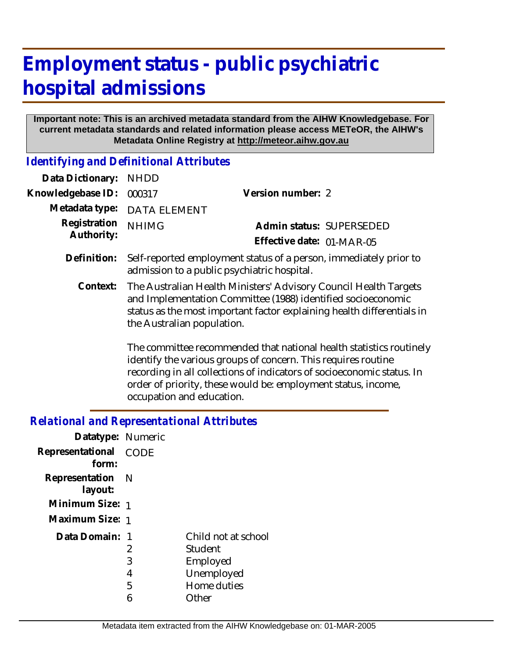# **Employment status - public psychiatric hospital admissions**

#### **Important note: This is an archived metadata standard from the AIHW Knowledgebase. For current metadata standards and related information please access METeOR, the AIHW's Metadata Online Registry at http://meteor.aihw.gov.au**

*Identifying and Definitional Attributes*

| Data Dictionary:           | <b>NHDD</b>                                                                                                                                                                                                                              |                                                                     |  |
|----------------------------|------------------------------------------------------------------------------------------------------------------------------------------------------------------------------------------------------------------------------------------|---------------------------------------------------------------------|--|
| Knowledgebase ID:          | 000317                                                                                                                                                                                                                                   | Version number: 2                                                   |  |
| Metadata type:             | <b>DATA ELEMENT</b>                                                                                                                                                                                                                      |                                                                     |  |
| Registration<br>Authority: | <b>NHIMG</b>                                                                                                                                                                                                                             | Admin status: SUPERSEDED                                            |  |
|                            |                                                                                                                                                                                                                                          | Effective date: 01-MAR-05                                           |  |
| Definition:                | Self-reported employment status of a person, immediately prior to<br>admission to a public psychiatric hospital.                                                                                                                         |                                                                     |  |
| Context:                   | The Australian Health Ministers' Advisory Council Health Targets<br>and Implementation Committee (1988) identified socioeconomic<br>status as the most important factor explaining health differentials in<br>the Australian population. |                                                                     |  |
|                            |                                                                                                                                                                                                                                          | The committee recommended that national health statistics routinely |  |

identify the various groups of concern. This requires routine recording in all collections of indicators of socioeconomic status. In order of priority, these would be: employment status, income, occupation and education.

### *Relational and Representational Attributes*

| Datatype: Numeric           |                  |                                                                                  |
|-----------------------------|------------------|----------------------------------------------------------------------------------|
| Representational<br>form:   | <b>CODE</b>      |                                                                                  |
| Representation N<br>layout: |                  |                                                                                  |
| Minimum Size: 1             |                  |                                                                                  |
| Maximum Size: 1             |                  |                                                                                  |
| Data Domain:                | 2<br>3<br>4<br>5 | Child not at school<br>Student<br>Employed<br>Unemployed<br>Home duties<br>∩ther |